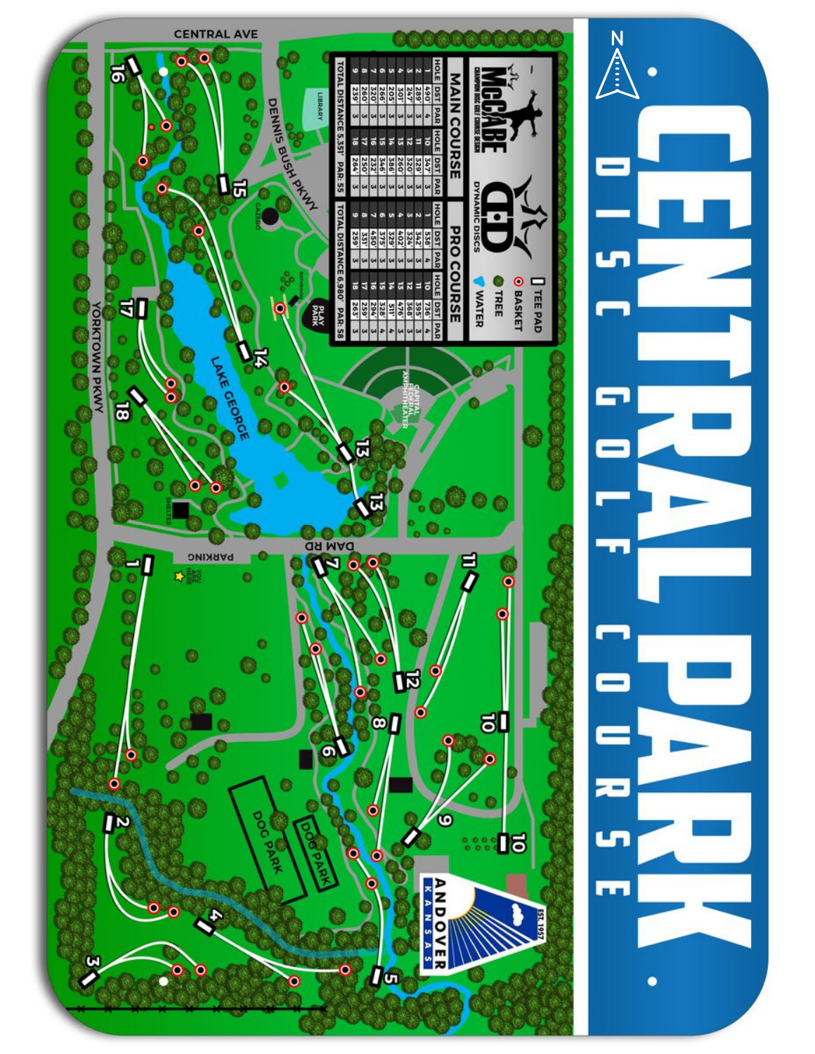